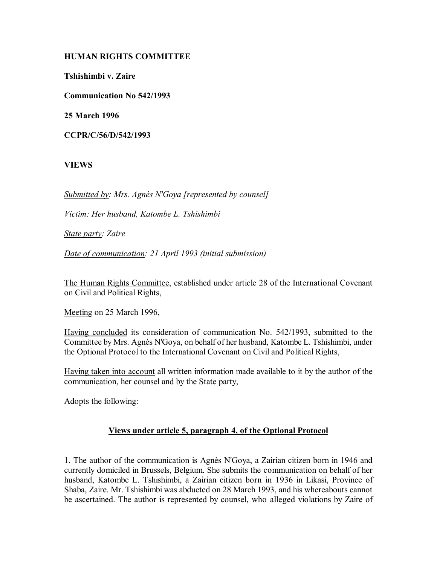# **HUMAN RIGHTS COMMITTEE**

**Tshishimbi v. Zaire**

**Communication No 542/1993**

**25 March 1996**

**CCPR/C/56/D/542/1993**

**VIEWS**

*Submitted by: Mrs. Agnès N'Goya [represented by counsel]* 

*Victim: Her husband, Katombe L. Tshishimbi* 

*State party: Zaire* 

*Date of communication: 21 April 1993 (initial submission)* 

The Human Rights Committee, established under article 28 of the International Covenant on Civil and Political Rights,

Meeting on 25 March 1996,

Having concluded its consideration of communication No. 542/1993, submitted to the Committee by Mrs. Agnès N'Goya, on behalf of her husband, Katombe L. Tshishimbi, under the Optional Protocol to the International Covenant on Civil and Political Rights,

Having taken into account all written information made available to it by the author of the communication, her counsel and by the State party,

Adopts the following:

# **Views under article 5, paragraph 4, of the Optional Protocol**

1. The author of the communication is Agnès N'Goya, a Zairian citizen born in 1946 and currently domiciled in Brussels, Belgium. She submits the communication on behalf of her husband, Katombe L. Tshishimbi, a Zairian citizen born in 1936 in Likasi, Province of Shaba, Zaire. Mr. Tshishimbi was abducted on 28 March 1993, and his whereabouts cannot be ascertained. The author is represented by counsel, who alleged violations by Zaire of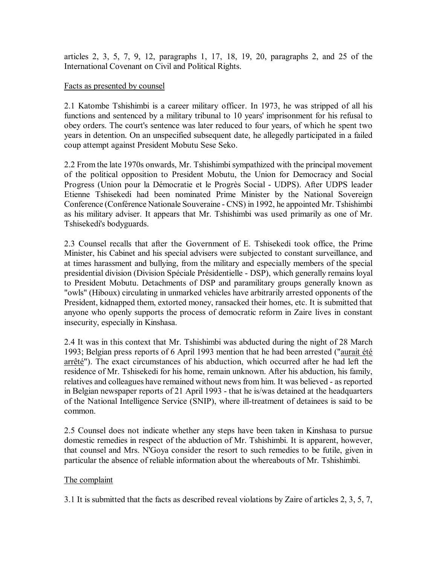articles 2, 3, 5, 7, 9, 12, paragraphs 1, 17, 18, 19, 20, paragraphs 2, and 25 of the International Covenant on Civil and Political Rights.

### Facts as presented by counsel

2.1 Katombe Tshishimbi is a career military officer. In 1973, he was stripped of all his functions and sentenced by a military tribunal to 10 years' imprisonment for his refusal to obey orders. The court's sentence was later reduced to four years, of which he spent two years in detention. On an unspecified subsequent date, he allegedly participated in a failed coup attempt against President Mobutu Sese Seko.

2.2 From the late 1970s onwards, Mr. Tshishimbi sympathized with the principal movement of the political opposition to President Mobutu, the Union for Democracy and Social Progress (Union pour la Démocratie et le Progrès Social - UDPS). After UDPS leader Etienne Tshisekedi had been nominated Prime Minister by the National Sovereign Conference (Conférence Nationale Souveraine - CNS) in 1992, he appointed Mr. Tshishimbi as his military adviser. It appears that Mr. Tshishimbi was used primarily as one of Mr. Tshisekedi's bodyguards.

2.3 Counsel recalls that after the Government of E. Tshisekedi took office, the Prime Minister, his Cabinet and his special advisers were subjected to constant surveillance, and at times harassment and bullying, from the military and especially members of the special presidential division (Division Spéciale Présidentielle - DSP), which generally remains loyal to President Mobutu. Detachments of DSP and paramilitary groups generally known as "owls" (Hiboux) circulating in unmarked vehicles have arbitrarily arrested opponents of the President, kidnapped them, extorted money, ransacked their homes, etc. It is submitted that anyone who openly supports the process of democratic reform in Zaire lives in constant insecurity, especially in Kinshasa.

2.4 It was in this context that Mr. Tshishimbi was abducted during the night of 28 March 1993; Belgian press reports of 6 April 1993 mention that he had been arrested ("aurait été arrêté"). The exact circumstances of his abduction, which occurred after he had left the residence of Mr. Tshisekedi for his home, remain unknown. After his abduction, his family, relatives and colleagues have remained without news from him. It was believed - as reported in Belgian newspaper reports of 21 April 1993 - that he is/was detained at the headquarters of the National Intelligence Service (SNIP), where ill-treatment of detainees is said to be common.

2.5 Counsel does not indicate whether any steps have been taken in Kinshasa to pursue domestic remedies in respect of the abduction of Mr. Tshishimbi. It is apparent, however, that counsel and Mrs. N'Goya consider the resort to such remedies to be futile, given in particular the absence of reliable information about the whereabouts of Mr. Tshishimbi.

# The complaint

3.1 It is submitted that the facts as described reveal violations by Zaire of articles 2, 3, 5, 7,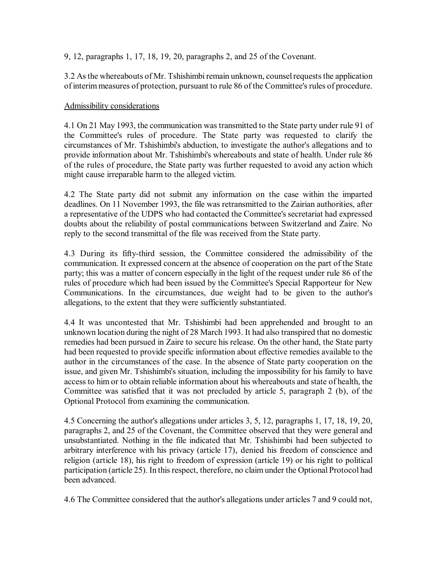9, 12, paragraphs 1, 17, 18, 19, 20, paragraphs 2, and 25 of the Covenant.

3.2 As the whereabouts of Mr. Tshishimbi remain unknown, counsel requests the application of interim measures of protection, pursuant to rule 86 of the Committee's rules of procedure.

### Admissibility considerations

4.1 On 21 May 1993, the communication was transmitted to the State party under rule 91 of the Committee's rules of procedure. The State party was requested to clarify the circumstances of Mr. Tshishimbi's abduction, to investigate the author's allegations and to provide information about Mr. Tshishimbi's whereabouts and state of health. Under rule 86 of the rules of procedure, the State party was further requested to avoid any action which might cause irreparable harm to the alleged victim.

4.2 The State party did not submit any information on the case within the imparted deadlines. On 11 November 1993, the file was retransmitted to the Zairian authorities, after a representative of the UDPS who had contacted the Committee's secretariat had expressed doubts about the reliability of postal communications between Switzerland and Zaire. No reply to the second transmittal of the file was received from the State party.

4.3 During its fifty-third session, the Committee considered the admissibility of the communication. It expressed concern at the absence of cooperation on the part of the State party; this was a matter of concern especially in the light of the request under rule 86 of the rules of procedure which had been issued by the Committee's Special Rapporteur for New Communications. In the circumstances, due weight had to be given to the author's allegations, to the extent that they were sufficiently substantiated.

4.4 It was uncontested that Mr. Tshishimbi had been apprehended and brought to an unknown location during the night of 28 March 1993. It had also transpired that no domestic remedies had been pursued in Zaire to secure his release. On the other hand, the State party had been requested to provide specific information about effective remedies available to the author in the circumstances of the case. In the absence of State party cooperation on the issue, and given Mr. Tshishimbi's situation, including the impossibility for his family to have access to him or to obtain reliable information about his whereabouts and state of health, the Committee was satisfied that it was not precluded by article 5, paragraph 2 (b), of the Optional Protocol from examining the communication.

4.5 Concerning the author's allegations under articles 3, 5, 12, paragraphs 1, 17, 18, 19, 20, paragraphs 2, and 25 of the Covenant, the Committee observed that they were general and unsubstantiated. Nothing in the file indicated that Mr. Tshishimbi had been subjected to arbitrary interference with his privacy (article 17), denied his freedom of conscience and religion (article 18), his right to freedom of expression (article 19) or his right to political participation (article 25). In this respect, therefore, no claim under the Optional Protocol had been advanced.

4.6 The Committee considered that the author's allegations under articles 7 and 9 could not,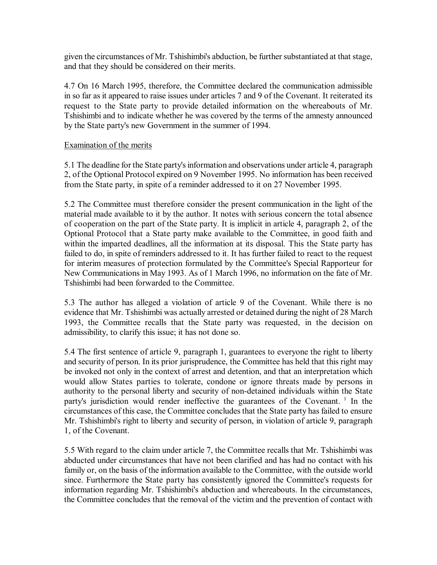given the circumstances of Mr. Tshishimbi's abduction, be further substantiated at that stage, and that they should be considered on their merits.

4.7 On 16 March 1995, therefore, the Committee declared the communication admissible in so far as it appeared to raise issues under articles 7 and 9 of the Covenant. It reiterated its request to the State party to provide detailed information on the whereabouts of Mr. Tshishimbi and to indicate whether he was covered by the terms of the amnesty announced by the State party's new Government in the summer of 1994.

#### Examination of the merits

5.1 The deadline for the State party's information and observations under article 4, paragraph 2, of the Optional Protocol expired on 9 November 1995. No information has been received from the State party, in spite of a reminder addressed to it on 27 November 1995.

5.2 The Committee must therefore consider the present communication in the light of the material made available to it by the author. It notes with serious concern the total absence of cooperation on the part of the State party. It is implicit in article 4, paragraph 2, of the Optional Protocol that a State party make available to the Committee, in good faith and within the imparted deadlines, all the information at its disposal. This the State party has failed to do, in spite of reminders addressed to it. It has further failed to react to the request for interim measures of protection formulated by the Committee's Special Rapporteur for New Communications in May 1993. As of 1 March 1996, no information on the fate of Mr. Tshishimbi had been forwarded to the Committee.

5.3 The author has alleged a violation of article 9 of the Covenant. While there is no evidence that Mr. Tshishimbi was actually arrested or detained during the night of 28 March 1993, the Committee recalls that the State party was requested, in the decision on admissibility, to clarify this issue; it has not done so.

5.4 The first sentence of article 9, paragraph 1, guarantees to everyone the right to liberty and security of person. In its prior jurisprudence, the Committee has held that this right may be invoked not only in the context of arrest and detention, and that an interpretation which would allow States parties to tolerate, condone or ignore threats made by persons in authority to the personal liberty and security of non-detained individuals within the State party's jurisdiction would render ineffective the guarantees of the Covenant.<sup>1</sup> In the circumstances of this case, the Committee concludes that the State party has failed to ensure Mr. Tshishimbi's right to liberty and security of person, in violation of article 9, paragraph 1, of the Covenant.

5.5 With regard to the claim under article 7, the Committee recalls that Mr. Tshishimbi was abducted under circumstances that have not been clarified and has had no contact with his family or, on the basis of the information available to the Committee, with the outside world since. Furthermore the State party has consistently ignored the Committee's requests for information regarding Mr. Tshishimbi's abduction and whereabouts. In the circumstances, the Committee concludes that the removal of the victim and the prevention of contact with